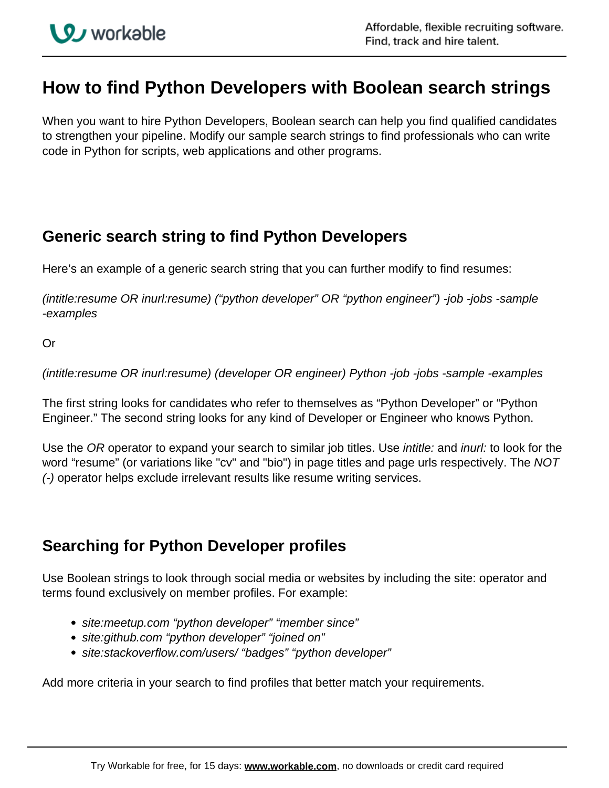# **How to find Python Developers with Boolean search strings**

When you want to hire Python Developers, Boolean search can help you find qualified candidates to strengthen your pipeline. Modify our sample search strings to find professionals who can write code in Python for scripts, web applications and other programs.

### **Generic search string to find Python Developers**

Here's an example of a generic search string that you can further modify to find resumes:

(intitle:resume OR inurl:resume) ("python developer" OR "python engineer") -job -jobs -sample -examples

Or

(intitle:resume OR inurl:resume) (developer OR engineer) Python -job -jobs -sample -examples

The first string looks for candidates who refer to themselves as "Python Developer" or "Python Engineer." The second string looks for any kind of Developer or Engineer who knows Python.

Use the OR operator to expand your search to similar job titles. Use *intitle:* and *inurl:* to look for the word "resume" (or variations like "cv" and "bio") in page titles and page urls respectively. The NOT (-) operator helps exclude irrelevant results like resume writing services.

## **Searching for Python Developer profiles**

Use Boolean strings to look through social media or websites by including the site: operator and terms found exclusively on member profiles. For example:

- site: meetup.com "python developer" "member since"
- site:github.com "python developer" "joined on"
- site: stackoverflow.com/users/ "badges" "python developer"

Add more criteria in your search to find profiles that better match your requirements.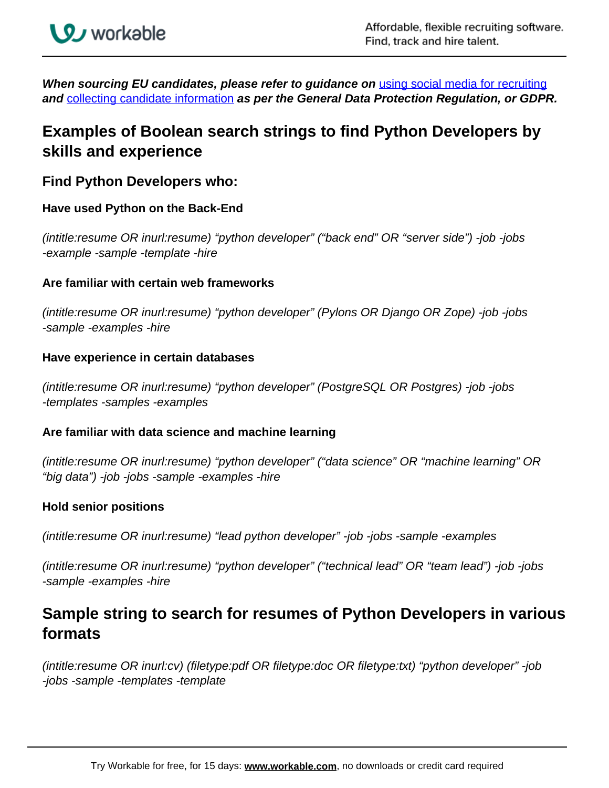

**When sourcing EU candidates, please refer to guidance on** using social media for recruiting **and** collecting candidate information **as per the General Data Protection Regulation, or GDPR.**

### **Examples of Boolean search strings to find Python Developers by skills and experience**

### **Find Python Developers who:**

#### **Have used Python on the Back-End**

(intitle:resume OR inurl:resume) "python developer" ("back end" OR "server side") -job -jobs -example -sample -template -hire

#### **Are familiar with certain web frameworks**

(intitle:resume OR inurl:resume) "python developer" (Pylons OR Django OR Zope) -job -jobs -sample -examples -hire

#### **Have experience in certain databases**

(intitle:resume OR inurl:resume) "python developer" (PostgreSQL OR Postgres) -job -jobs -templates -samples -examples

#### **Are familiar with data science and machine learning**

(intitle:resume OR inurl:resume) "python developer" ("data science" OR "machine learning" OR "big data") -job -jobs -sample -examples -hire

#### **Hold senior positions**

(intitle:resume OR inurl:resume) "lead python developer" -job -jobs -sample -examples

(intitle:resume OR inurl:resume) "python developer" ("technical lead" OR "team lead") -job -jobs -sample -examples -hire

### **Sample string to search for resumes of Python Developers in various formats**

(intitle:resume OR inurl:cv) (filetype:pdf OR filetype:doc OR filetype:txt) "python developer" -job -jobs -sample -templates -template